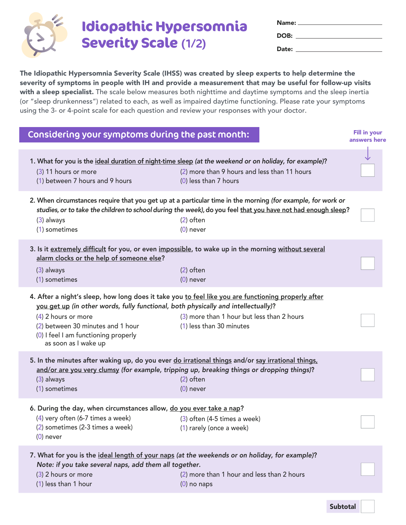

## **Idiopathic Hypersomnia Severity Scale** (1/2)

| <b>Name:</b> _____ |  |
|--------------------|--|
| DOB:               |  |
| Date:              |  |

The Idiopathic Hypersomnia Severity Scale (IHSS) was created by sleep experts to help determine the severity of symptoms in people with IH and provide a measurement that may be useful for follow-up visits with a sleep specialist. The scale below measures both nighttime and daytime symptoms and the sleep inertia (or "sleep drunkenness") related to each, as well as impaired daytime functioning. Please rate your symptoms using the 3- or 4-point scale for each question and review your responses with your doctor.

| Considering your symptoms during the past month:                                                                                                                                                                                                                                                                        |                                                                         | <b>Fill in your</b><br>answers here |
|-------------------------------------------------------------------------------------------------------------------------------------------------------------------------------------------------------------------------------------------------------------------------------------------------------------------------|-------------------------------------------------------------------------|-------------------------------------|
| 1. What for you is the ideal duration of night-time sleep (at the weekend or on holiday, for example)?<br>(3) 11 hours or more<br>(1) between 7 hours and 9 hours                                                                                                                                                       | (2) more than 9 hours and less than 11 hours<br>$(0)$ less than 7 hours |                                     |
| 2. When circumstances require that you get up at a particular time in the morning (for example, for work or<br>studies, or to take the children to school during the week), do you feel that you have not had enough sleep?<br>$(3)$ always<br>(1) sometimes                                                            | $(2)$ often<br>$(0)$ never                                              |                                     |
| 3. Is it extremely difficult for you, or even impossible, to wake up in the morning without several<br>alarm clocks or the help of someone else?<br>(3) always<br>(1) sometimes                                                                                                                                         | $(2)$ often<br>$(0)$ never                                              |                                     |
| 4. After a night's sleep, how long does it take you to feel like you are functioning properly after<br>you get up (in other words, fully functional, both physically and intellectually)?<br>$(4)$ 2 hours or more<br>(2) between 30 minutes and 1 hour<br>(0) I feel I am functioning properly<br>as soon as I wake up | (3) more than 1 hour but less than 2 hours<br>(1) less than 30 minutes  |                                     |
| 5. In the minutes after waking up, do you ever do irrational things and/or say irrational things,<br>and/or are you very clumsy (for example, tripping up, breaking things or dropping things)?<br>$(3)$ always<br>(1) sometimes                                                                                        | $(2)$ often<br>$(0)$ never                                              |                                     |
| 6. During the day, when circumstances allow, do you ever take a nap?<br>(4) very often (6-7 times a week)<br>(2) sometimes (2-3 times a week)<br>$(0)$ never                                                                                                                                                            | (3) often (4-5 times a week)<br>(1) rarely (once a week)                |                                     |
| 7. What for you is the ideal length of your naps (at the weekends or on holiday, for example)?<br>Note: if you take several naps, add them all together.<br>(3) 2 hours or more<br>$(1)$ less than 1 hour                                                                                                               | (2) more than 1 hour and less than 2 hours<br>$(0)$ no naps             |                                     |
|                                                                                                                                                                                                                                                                                                                         |                                                                         |                                     |

Subtotal